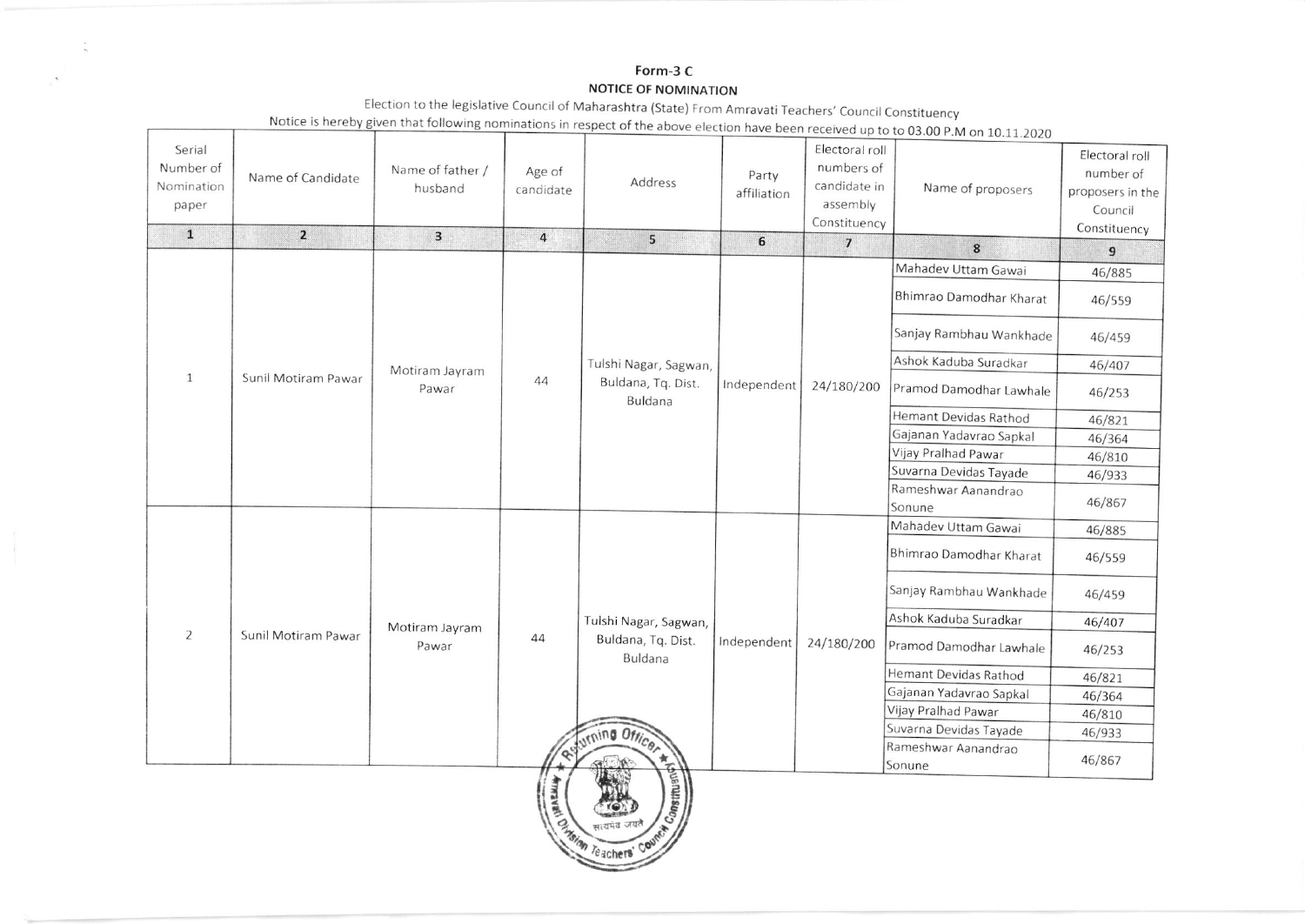## Form-3 C NOTICE OF NOMINATION

|                                            |                     |                             |                     |                                                                          |                      |                                                                          | Notice is nereby given that following nominations in respect of the above election have been received up to to 03.00 P.M on 10.11.2020 |                                                                            |
|--------------------------------------------|---------------------|-----------------------------|---------------------|--------------------------------------------------------------------------|----------------------|--------------------------------------------------------------------------|----------------------------------------------------------------------------------------------------------------------------------------|----------------------------------------------------------------------------|
| Serial<br>Number of<br>Nomination<br>paper | Name of Candidate   | Name of father /<br>husband | Age of<br>candidate | Address                                                                  | Party<br>affiliation | Electoral roll<br>numbers of<br>candidate in<br>assembly<br>Constituency | Name of proposers                                                                                                                      | Electoral roll<br>number of<br>proposers in the<br>Council<br>Constituency |
| $\mathbf{1}$                               | $\overline{2}$      | $\overline{\mathbf{3}}$     | $\overline{4}$      | 5                                                                        | 6                    | $\overline{7}$                                                           | 8                                                                                                                                      | $\overline{9}$                                                             |
|                                            |                     | Motiram Jayram<br>Pawar     | 44                  | Tulshi Nagar, Sagwan,<br>Buldana, Tq. Dist.<br>Buldana                   | Independent          | 24/180/200                                                               | Mahadev Uttam Gawai                                                                                                                    | 46/885                                                                     |
|                                            |                     |                             |                     |                                                                          |                      |                                                                          | Bhimrao Damodhar Kharat                                                                                                                | 46/559                                                                     |
|                                            |                     |                             |                     |                                                                          |                      |                                                                          | Sanjay Rambhau Wankhade                                                                                                                | 46/459                                                                     |
|                                            |                     |                             |                     |                                                                          |                      |                                                                          | Ashok Kaduba Suradkar                                                                                                                  | 46/407                                                                     |
| $\mathbf{1}$                               | Sunil Motiram Pawar |                             |                     |                                                                          |                      |                                                                          | Pramod Damodhar Lawhale                                                                                                                | 46/253                                                                     |
|                                            |                     |                             |                     |                                                                          |                      |                                                                          | Hemant Devidas Rathod                                                                                                                  | 46/821                                                                     |
|                                            |                     |                             |                     |                                                                          |                      |                                                                          | Gajanan Yadavrao Sapkal                                                                                                                | 46/364                                                                     |
|                                            |                     |                             |                     |                                                                          |                      |                                                                          | Vijay Pralhad Pawar                                                                                                                    | 46/810                                                                     |
|                                            |                     |                             |                     |                                                                          |                      |                                                                          | Suvarna Devidas Tayade                                                                                                                 | 46/933                                                                     |
|                                            |                     |                             |                     |                                                                          |                      |                                                                          | Rameshwar Aanandrao<br>Sonune                                                                                                          | 46/867                                                                     |
|                                            | Sunil Motiram Pawar | Motiram Jayram<br>Pawar     | 44                  | Tulshi Nagar, Sagwan,<br>Buldana, Tq. Dist.<br>Buldana<br>urning Officer | Independent          | 24/180/200                                                               | Mahadev Uttam Gawai                                                                                                                    | 46/885                                                                     |
|                                            |                     |                             |                     |                                                                          |                      |                                                                          | Bhimrao Damodhar Kharat                                                                                                                | 46/559                                                                     |
|                                            |                     |                             |                     |                                                                          |                      |                                                                          | Sanjay Rambhau Wankhade                                                                                                                | 46/459                                                                     |
|                                            |                     |                             |                     |                                                                          |                      |                                                                          | Ashok Kaduba Suradkar                                                                                                                  | 46/407                                                                     |
| $\overline{2}$                             |                     |                             |                     |                                                                          |                      |                                                                          | Pramod Damodhar Lawhale                                                                                                                | 46/253                                                                     |
|                                            |                     |                             |                     |                                                                          |                      |                                                                          | Hemant Devidas Rathod                                                                                                                  | 46/821                                                                     |
|                                            |                     |                             |                     |                                                                          |                      |                                                                          | Gajanan Yadavrao Sapkal                                                                                                                | 46/364                                                                     |
|                                            |                     |                             |                     |                                                                          |                      |                                                                          | Vijay Pralhad Pawar                                                                                                                    | 46/810                                                                     |
|                                            |                     |                             |                     |                                                                          |                      |                                                                          | Suvarna Devidas Tayade                                                                                                                 | 46/933                                                                     |
|                                            |                     |                             |                     |                                                                          |                      |                                                                          | Rameshwar Aanandrao<br>Sonune                                                                                                          | 46/867                                                                     |
|                                            |                     |                             | <b>HARNIA</b>       | <b>Manuscript</b>                                                        |                      |                                                                          |                                                                                                                                        |                                                                            |

Teachers' Co

सत्यमेव जय

Election to the legislative Council of Maharashtra (State) From Amravati Teachers' Council Constituency<br>Notice is hereby given that following nominations in respect of the above election have been in the induced in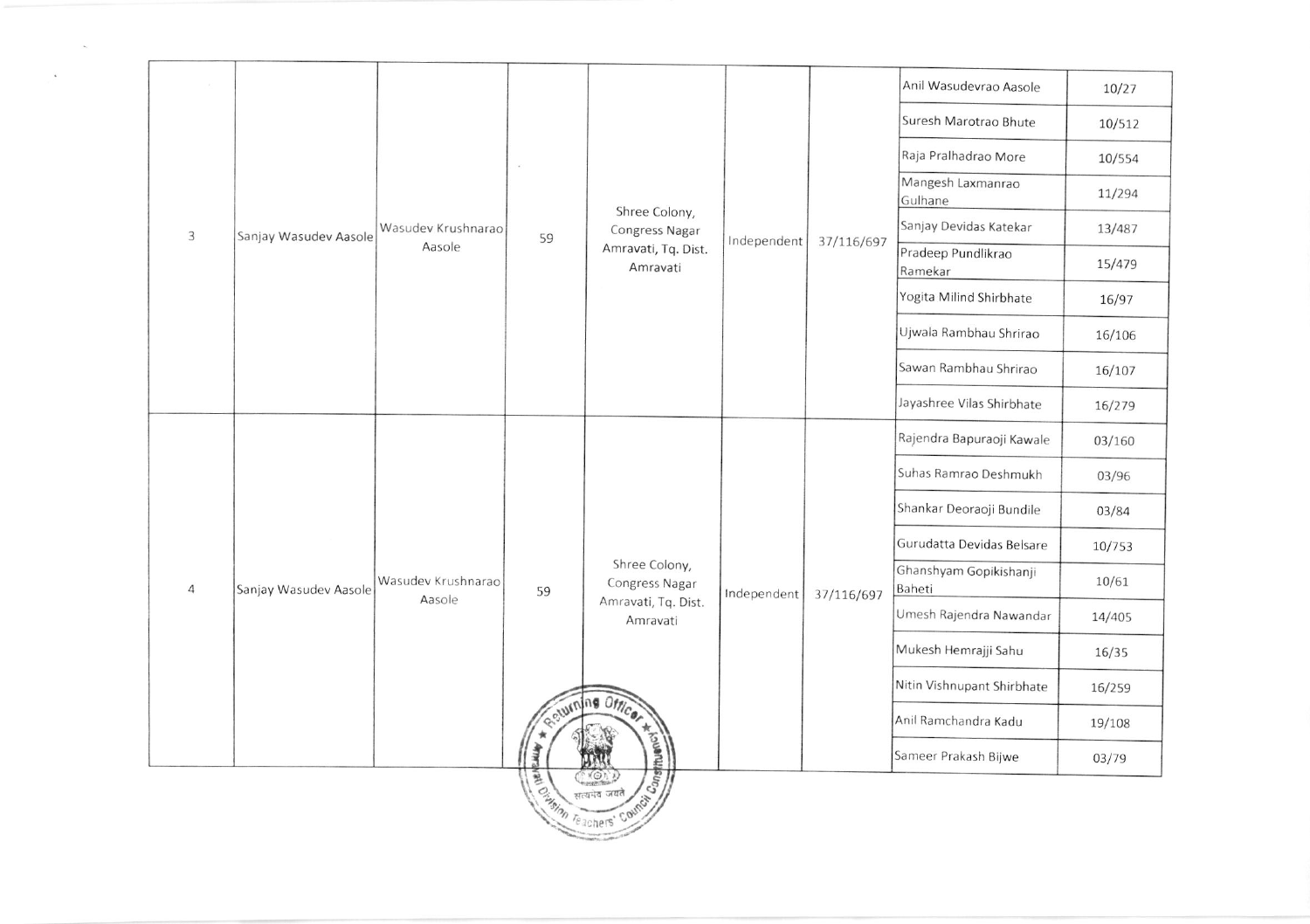|  |                |                       |                              |                                    |                                                                                                                 |             |            | Anil Wasudevrao Aasole           | 10/27  |
|--|----------------|-----------------------|------------------------------|------------------------------------|-----------------------------------------------------------------------------------------------------------------|-------------|------------|----------------------------------|--------|
|  |                |                       |                              | 59                                 |                                                                                                                 |             |            | Suresh Marotrao Bhute            | 10/512 |
|  |                |                       |                              |                                    |                                                                                                                 |             |            | Raja Pralhadrao More             | 10/554 |
|  |                |                       | Wasudev Krushnarao<br>Aasole |                                    | Shree Colony,<br>Congress Nagar<br>Amravati, Tq. Dist.<br>Amravati                                              |             | 37/116/697 | Mangesh Laxmanrao<br>Gulhane     | 11/294 |
|  | 3              | Sanjay Wasudev Aasole |                              |                                    |                                                                                                                 | Independent |            | Sanjay Devidas Katekar           | 13/487 |
|  |                |                       |                              |                                    |                                                                                                                 |             |            | Pradeep Pundlikrao<br>Ramekar    | 15/479 |
|  |                |                       |                              |                                    |                                                                                                                 |             |            | Yogita Milind Shirbhate          | 16/97  |
|  |                |                       |                              |                                    |                                                                                                                 |             |            | Ujwala Rambhau Shrirao           | 16/106 |
|  |                |                       |                              |                                    |                                                                                                                 |             |            | Sawan Rambhau Shrirao            | 16/107 |
|  |                |                       |                              |                                    |                                                                                                                 |             |            | Jayashree Vilas Shirbhate        | 16/279 |
|  | $\overline{4}$ | Sanjay Wasudev Aasole | Wasudev Krushnarao<br>Aasole | 59<br>oturn<br>道<br>Require Sounds | Shree Colony,<br>Congress Nagar<br>Amravati, Tq. Dist.<br>Amravati<br>ng Office<br><b>Ensent?</b><br>$c_{2nst}$ | Independent | 37/116/697 | Rajendra Bapuraoji Kawale        | 03/160 |
|  |                |                       |                              |                                    |                                                                                                                 |             |            | Suhas Ramrao Deshmukh            | 03/96  |
|  |                |                       |                              |                                    |                                                                                                                 |             |            | Shankar Deoraoji Bundile         | 03/84  |
|  |                |                       |                              |                                    |                                                                                                                 |             |            | Gurudatta Devidas Belsare        | 10/753 |
|  |                |                       |                              |                                    |                                                                                                                 |             |            | Ghanshyam Gopikishanji<br>Baheti | 10/61  |
|  |                |                       |                              |                                    |                                                                                                                 |             |            | Umesh Rajendra Nawandar          | 14/405 |
|  |                |                       |                              |                                    |                                                                                                                 |             |            | Mukesh Hemrajji Sahu             | 16/35  |
|  |                |                       |                              |                                    |                                                                                                                 |             |            | Nitin Vishnupant Shirbhate       | 16/259 |
|  |                |                       |                              |                                    |                                                                                                                 |             |            | Anil Ramchandra Kadu             | 19/108 |
|  |                |                       |                              |                                    |                                                                                                                 |             |            | Sameer Prakash Bijwe             | 03/79  |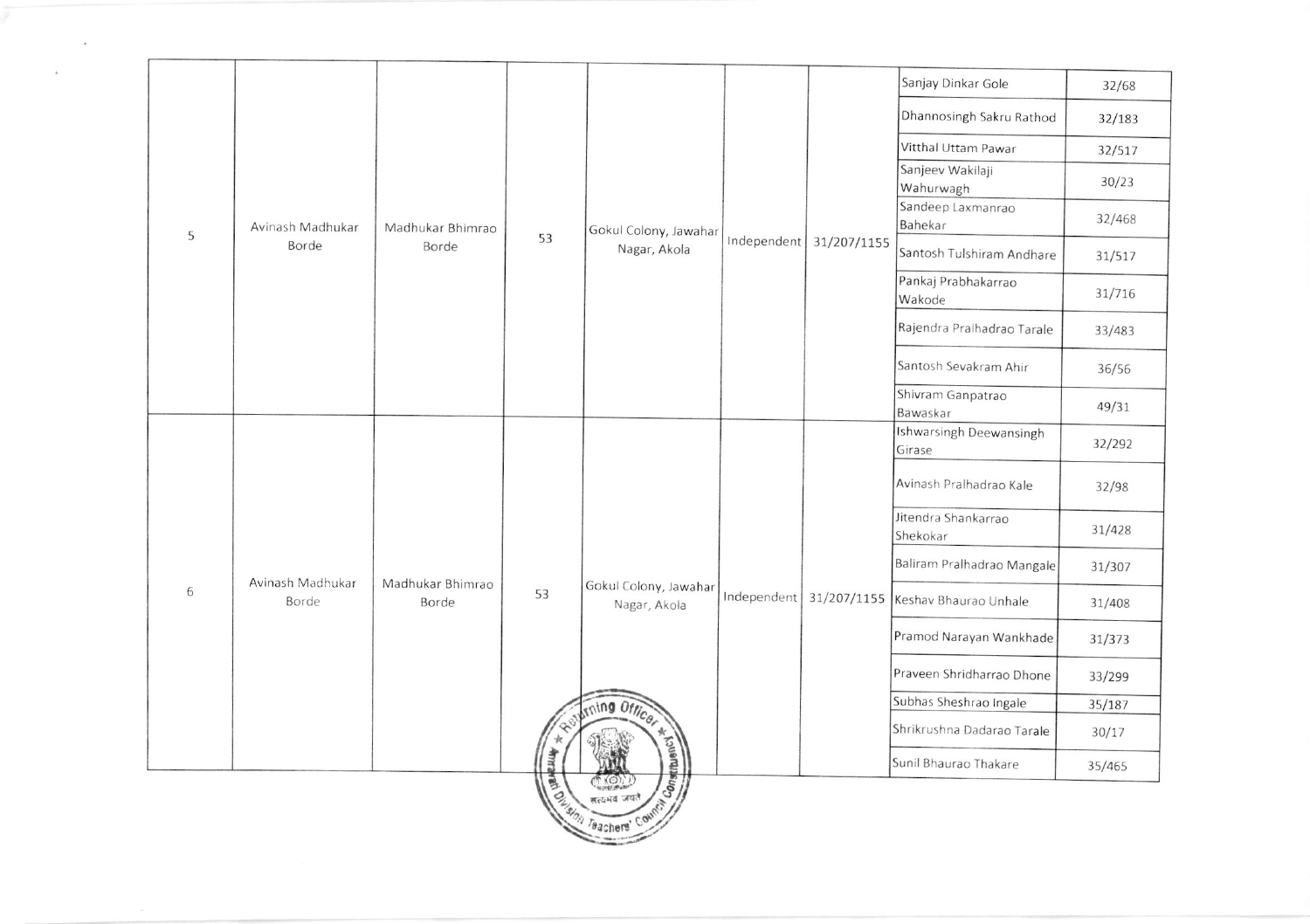|   |                           |                           |    |                                                               |             |                           | Sanjay Dinkar Gole                | 32/68  |
|---|---------------------------|---------------------------|----|---------------------------------------------------------------|-------------|---------------------------|-----------------------------------|--------|
|   |                           |                           |    |                                                               |             |                           | Dhannosingh Sakru Rathod          | 32/183 |
|   |                           |                           |    |                                                               |             |                           | Vitthal Uttam Pawar               | 32/517 |
|   |                           |                           |    |                                                               |             |                           | Sanjeev Wakilaji                  |        |
|   |                           |                           |    |                                                               |             |                           | Wahurwagh                         | 30/23  |
| 5 | Avinash Madhukar<br>Borde | Madhukar Bhimrao<br>Borde | 53 | Gokul Colony, Jawahar<br>Nagar, Akola                         |             | Independent   31/207/1155 | Sandeep Laxmanrao<br>Bahekar      | 32/468 |
|   |                           |                           |    |                                                               |             |                           | Santosh Tulshiram Andhare         | 31/517 |
|   |                           |                           |    |                                                               |             |                           | Pankaj Prabhakarrao               | 31/716 |
|   |                           |                           |    |                                                               |             |                           | Wakode                            |        |
|   |                           |                           |    |                                                               |             |                           | Rajendra Pralhadrao Tarale        | 33/483 |
|   |                           |                           |    |                                                               |             |                           | Santosh Sevakram Ahir             | 36/56  |
|   |                           |                           |    |                                                               |             |                           | Shivram Ganpatrao<br>Bawaskar     | 49/31  |
|   | Avinash Madhukar<br>Borde | Madhukar Bhimrao<br>Borde | 53 | Gokul Colony, Jawahar<br>Nagar, Akola<br>ming Officer         | Independent | 31/207/1155               | Ishwarsingh Deewansingh<br>Girase | 32/292 |
|   |                           |                           |    |                                                               |             |                           | Avinash Pralhadrao Kale           | 32/98  |
|   |                           |                           |    |                                                               |             |                           | Jitendra Shankarrao<br>Shekokar   | 31/428 |
|   |                           |                           |    |                                                               |             |                           | Baliram Pralhadrao Mangale        | 31/307 |
| 6 |                           |                           |    |                                                               |             |                           | Keshav Bhaurao Unhale             | 31/408 |
|   |                           |                           |    |                                                               |             |                           | Pramod Narayan Wankhade           | 31/373 |
|   |                           |                           |    |                                                               |             |                           | Praveen Shridharrao Dhone         | 33/299 |
|   |                           |                           |    |                                                               |             |                           | Subhas Sheshrao Ingale            | 35/187 |
|   |                           |                           |    |                                                               |             |                           | Shrikrushna Dadarao Tarale        | 30/17  |
|   |                           |                           | 寻  |                                                               |             |                           | Sunil Bhaurao Thakare             | 35/465 |
|   |                           |                           | 賣  | Constitution<br>$\bigcirc$<br><b>Origin Regula Jan Counct</b> |             |                           |                                   |        |

 $\mathcal{A}^{\mathcal{A}}$  . The contract of  $\mathcal{A}^{\mathcal{A}}$